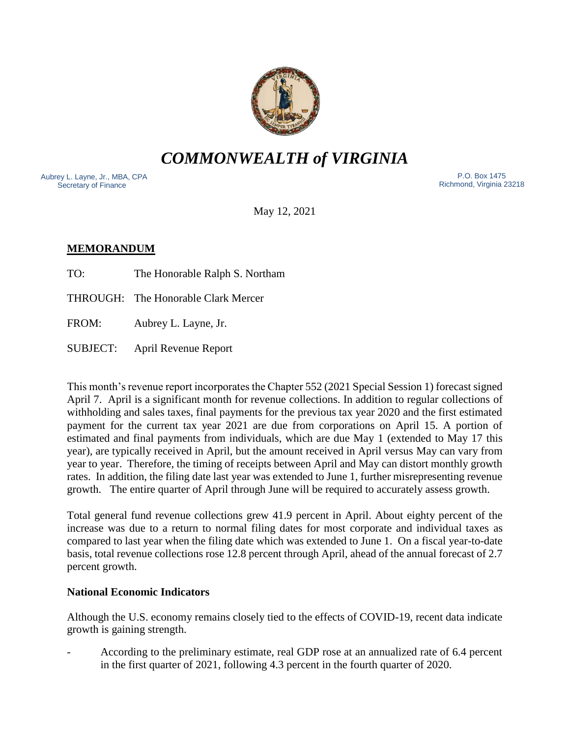

*COMMONWEALTH of VIRGINIA*

Aubrey L. Layne, Jr., MBA, CPA Secretary of Finance

 P.O. Box 1475 Richmond, Virginia 23218

May 12, 2021

# **MEMORANDUM**

TO: The Honorable Ralph S. Northam

THROUGH: The Honorable Clark Mercer

FROM: Aubrey L. Layne, Jr.

SUBJECT: April Revenue Report

This month's revenue report incorporates the Chapter 552 (2021 Special Session 1) forecast signed April 7. April is a significant month for revenue collections. In addition to regular collections of withholding and sales taxes, final payments for the previous tax year 2020 and the first estimated payment for the current tax year 2021 are due from corporations on April 15. A portion of estimated and final payments from individuals, which are due May 1 (extended to May 17 this year), are typically received in April, but the amount received in April versus May can vary from year to year. Therefore, the timing of receipts between April and May can distort monthly growth rates. In addition, the filing date last year was extended to June 1, further misrepresenting revenue growth. The entire quarter of April through June will be required to accurately assess growth.

Total general fund revenue collections grew 41.9 percent in April. About eighty percent of the increase was due to a return to normal filing dates for most corporate and individual taxes as compared to last year when the filing date which was extended to June 1. On a fiscal year-to-date basis, total revenue collections rose 12.8 percent through April, ahead of the annual forecast of 2.7 percent growth.

## **National Economic Indicators**

Although the U.S. economy remains closely tied to the effects of COVID-19, recent data indicate growth is gaining strength.

- According to the preliminary estimate, real GDP rose at an annualized rate of 6.4 percent in the first quarter of 2021, following 4.3 percent in the fourth quarter of 2020.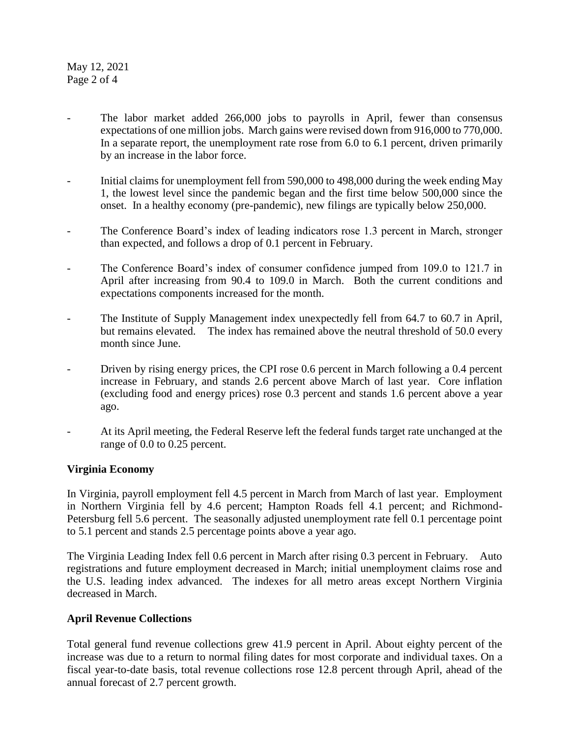May 12, 2021 Page 2 of 4

- The labor market added 266,000 jobs to payrolls in April, fewer than consensus expectations of one million jobs. March gains were revised down from 916,000 to 770,000. In a separate report, the unemployment rate rose from 6.0 to 6.1 percent, driven primarily by an increase in the labor force.
- Initial claims for unemployment fell from 590,000 to 498,000 during the week ending May 1, the lowest level since the pandemic began and the first time below 500,000 since the onset. In a healthy economy (pre-pandemic), new filings are typically below 250,000.
- The Conference Board's index of leading indicators rose 1.3 percent in March, stronger than expected, and follows a drop of 0.1 percent in February.
- The Conference Board's index of consumer confidence jumped from 109.0 to 121.7 in April after increasing from 90.4 to 109.0 in March. Both the current conditions and expectations components increased for the month.
- The Institute of Supply Management index unexpectedly fell from 64.7 to 60.7 in April, but remains elevated. The index has remained above the neutral threshold of 50.0 every month since June.
- Driven by rising energy prices, the CPI rose 0.6 percent in March following a 0.4 percent increase in February, and stands 2.6 percent above March of last year. Core inflation (excluding food and energy prices) rose 0.3 percent and stands 1.6 percent above a year ago.
- At its April meeting, the Federal Reserve left the federal funds target rate unchanged at the range of 0.0 to 0.25 percent.

### **Virginia Economy**

In Virginia, payroll employment fell 4.5 percent in March from March of last year. Employment in Northern Virginia fell by 4.6 percent; Hampton Roads fell 4.1 percent; and Richmond-Petersburg fell 5.6 percent. The seasonally adjusted unemployment rate fell 0.1 percentage point to 5.1 percent and stands 2.5 percentage points above a year ago.

The Virginia Leading Index fell 0.6 percent in March after rising 0.3 percent in February. Auto registrations and future employment decreased in March; initial unemployment claims rose and the U.S. leading index advanced. The indexes for all metro areas except Northern Virginia decreased in March.

### **April Revenue Collections**

Total general fund revenue collections grew 41.9 percent in April. About eighty percent of the increase was due to a return to normal filing dates for most corporate and individual taxes. On a fiscal year-to-date basis, total revenue collections rose 12.8 percent through April, ahead of the annual forecast of 2.7 percent growth.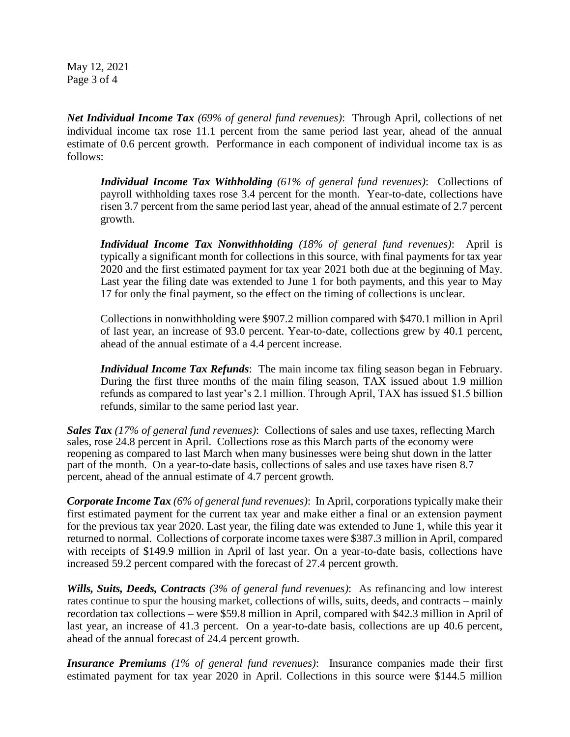May 12, 2021 Page 3 of 4

*Net Individual Income Tax (69% of general fund revenues)*: Through April, collections of net individual income tax rose 11.1 percent from the same period last year, ahead of the annual estimate of 0.6 percent growth. Performance in each component of individual income tax is as follows:

*Individual Income Tax Withholding (61% of general fund revenues)*: Collections of payroll withholding taxes rose 3.4 percent for the month. Year-to-date, collections have risen 3.7 percent from the same period last year, ahead of the annual estimate of 2.7 percent growth.

*Individual Income Tax Nonwithholding (18% of general fund revenues)*: April is typically a significant month for collections in this source, with final payments for tax year 2020 and the first estimated payment for tax year 2021 both due at the beginning of May. Last year the filing date was extended to June 1 for both payments, and this year to May 17 for only the final payment, so the effect on the timing of collections is unclear.

Collections in nonwithholding were \$907.2 million compared with \$470.1 million in April of last year, an increase of 93.0 percent. Year-to-date, collections grew by 40.1 percent, ahead of the annual estimate of a 4.4 percent increase.

*Individual Income Tax Refunds*: The main income tax filing season began in February. During the first three months of the main filing season, TAX issued about 1.9 million refunds as compared to last year's 2.1 million. Through April, TAX has issued \$1.5 billion refunds, similar to the same period last year.

*Sales Tax (17% of general fund revenues)*: Collections of sales and use taxes, reflecting March sales, rose 24.8 percent in April. Collections rose as this March parts of the economy were reopening as compared to last March when many businesses were being shut down in the latter part of the month. On a year-to-date basis, collections of sales and use taxes have risen 8.7 percent, ahead of the annual estimate of 4.7 percent growth.

*Corporate Income Tax (6% of general fund revenues)*: In April, corporations typically make their first estimated payment for the current tax year and make either a final or an extension payment for the previous tax year 2020. Last year, the filing date was extended to June 1, while this year it returned to normal. Collections of corporate income taxes were \$387.3 million in April, compared with receipts of \$149.9 million in April of last year. On a year-to-date basis, collections have increased 59.2 percent compared with the forecast of 27.4 percent growth.

*Wills, Suits, Deeds, Contracts (3% of general fund revenues)*: As refinancing and low interest rates continue to spur the housing market, collections of wills, suits, deeds, and contracts – mainly recordation tax collections – were \$59.8 million in April, compared with \$42.3 million in April of last year, an increase of 41.3 percent. On a year-to-date basis, collections are up 40.6 percent, ahead of the annual forecast of 24.4 percent growth.

*Insurance Premiums (1% of general fund revenues)*: Insurance companies made their first estimated payment for tax year 2020 in April. Collections in this source were \$144.5 million